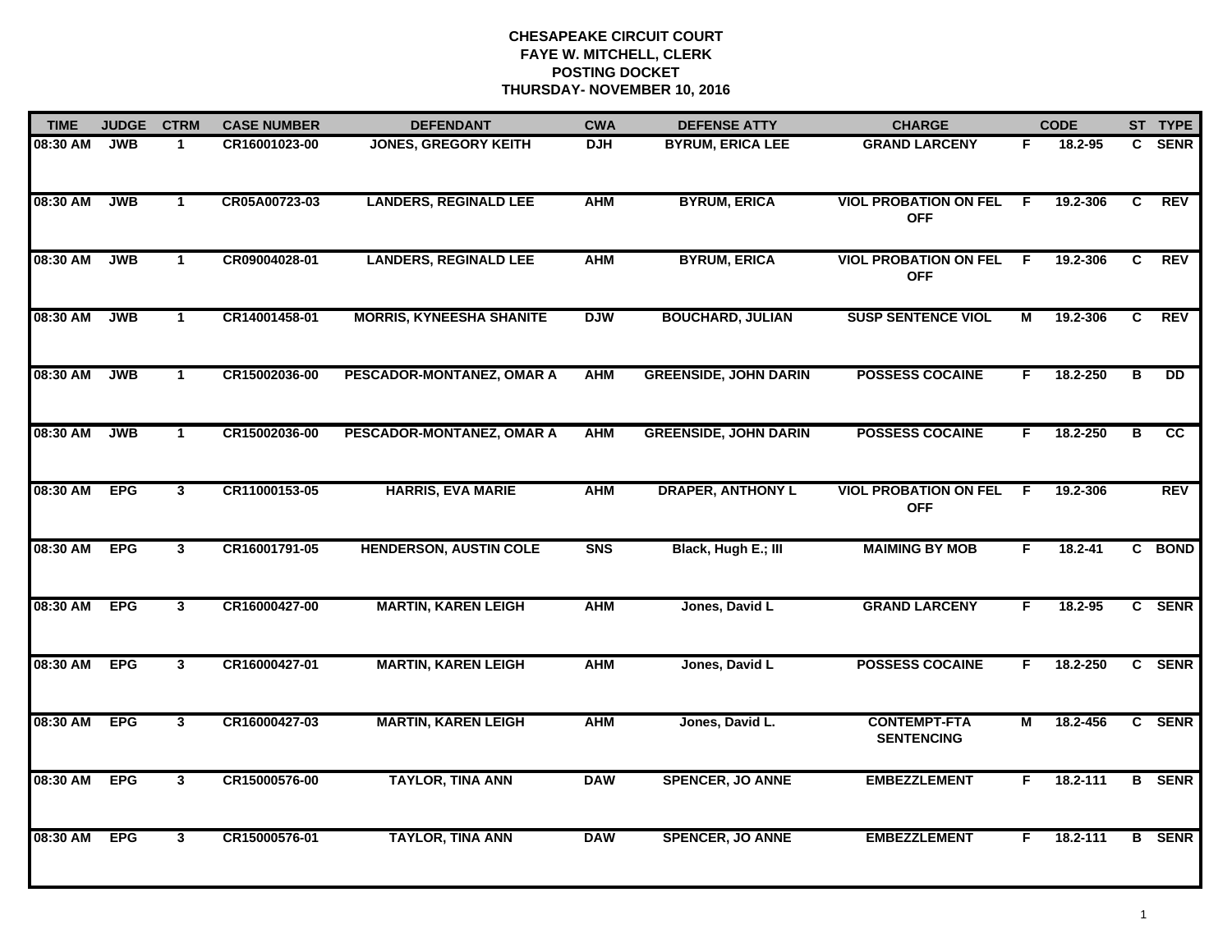| <b>TIME</b> | <b>JUDGE</b> | <b>CTRM</b>    | <b>CASE NUMBER</b> | <b>DEFENDANT</b>                | <b>CWA</b> | <b>DEFENSE ATTY</b>          | <b>CHARGE</b>                              |    | <b>CODE</b> |   | ST TYPE       |
|-------------|--------------|----------------|--------------------|---------------------------------|------------|------------------------------|--------------------------------------------|----|-------------|---|---------------|
| 08:30 AM    | <b>JWB</b>   | -1             | CR16001023-00      | <b>JONES, GREGORY KEITH</b>     | <b>DJH</b> | <b>BYRUM, ERICA LEE</b>      | <b>GRAND LARCENY</b>                       | F. | 18.2-95     |   | C SENR        |
| 08:30 AM    | <b>JWB</b>   | $\mathbf{1}$   | CR05A00723-03      | <b>LANDERS, REGINALD LEE</b>    | <b>AHM</b> | <b>BYRUM, ERICA</b>          | <b>VIOL PROBATION ON FEL</b><br><b>OFF</b> | F. | 19.2-306    | C | <b>REV</b>    |
| 08:30 AM    | <b>JWB</b>   | $\mathbf{1}$   | CR09004028-01      | <b>LANDERS, REGINALD LEE</b>    | <b>AHM</b> | <b>BYRUM, ERICA</b>          | <b>VIOL PROBATION ON FEL</b><br><b>OFF</b> | E  | 19.2-306    | C | <b>REV</b>    |
| 08:30 AM    | <b>JWB</b>   | $\mathbf 1$    | CR14001458-01      | <b>MORRIS, KYNEESHA SHANITE</b> | <b>DJW</b> | <b>BOUCHARD, JULIAN</b>      | <b>SUSP SENTENCE VIOL</b>                  | м  | 19.2-306    | C | <b>REV</b>    |
| 08:30 AM    | <b>JWB</b>   | $\mathbf{1}$   | CR15002036-00      | PESCADOR-MONTANEZ, OMAR A       | <b>AHM</b> | <b>GREENSIDE, JOHN DARIN</b> | <b>POSSESS COCAINE</b>                     | F. | 18.2-250    | B | <b>DD</b>     |
| 08:30 AM    | <b>JWB</b>   | $\mathbf{1}$   | CR15002036-00      | PESCADOR-MONTANEZ, OMAR A       | <b>AHM</b> | <b>GREENSIDE, JOHN DARIN</b> | <b>POSSESS COCAINE</b>                     | F. | 18.2-250    | В | cc            |
| 08:30 AM    | <b>EPG</b>   | 3              | CR11000153-05      | <b>HARRIS, EVA MARIE</b>        | <b>AHM</b> | <b>DRAPER, ANTHONY L</b>     | <b>VIOL PROBATION ON FEL</b><br><b>OFF</b> | F. | 19.2-306    |   | <b>REV</b>    |
| 08:30 AM    | <b>EPG</b>   | $\mathbf{3}$   | CR16001791-05      | <b>HENDERSON, AUSTIN COLE</b>   | <b>SNS</b> | Black, Hugh E.; III          | <b>MAIMING BY MOB</b>                      | F  | $18.2 - 41$ |   | C BOND        |
| 08:30 AM    | <b>EPG</b>   | $\mathbf{3}$   | CR16000427-00      | <b>MARTIN, KAREN LEIGH</b>      | <b>AHM</b> | Jones, David L               | <b>GRAND LARCENY</b>                       | F  | $18.2 - 95$ |   | C SENR        |
| 08:30 AM    | <b>EPG</b>   | $\mathbf{3}$   | CR16000427-01      | <b>MARTIN, KAREN LEIGH</b>      | <b>AHM</b> | Jones, David L               | <b>POSSESS COCAINE</b>                     | F. | 18.2-250    |   | C SENR        |
| 08:30 AM    | <b>EPG</b>   | $3\phantom{a}$ | CR16000427-03      | <b>MARTIN, KAREN LEIGH</b>      | <b>AHM</b> | Jones, David L.              | <b>CONTEMPT-FTA</b><br><b>SENTENCING</b>   | М  | 18.2-456    |   | C SENR        |
| 08:30 AM    | <b>EPG</b>   | $\mathbf{3}$   | CR15000576-00      | <b>TAYLOR, TINA ANN</b>         | <b>DAW</b> | <b>SPENCER, JO ANNE</b>      | <b>EMBEZZLEMENT</b>                        | F. | 18.2-111    |   | <b>B</b> SENR |
| 08:30 AM    | <b>EPG</b>   | $\mathbf{3}$   | CR15000576-01      | <b>TAYLOR, TINA ANN</b>         | <b>DAW</b> | <b>SPENCER, JO ANNE</b>      | <b>EMBEZZLEMENT</b>                        | F. | 18.2-111    |   | <b>B</b> SENR |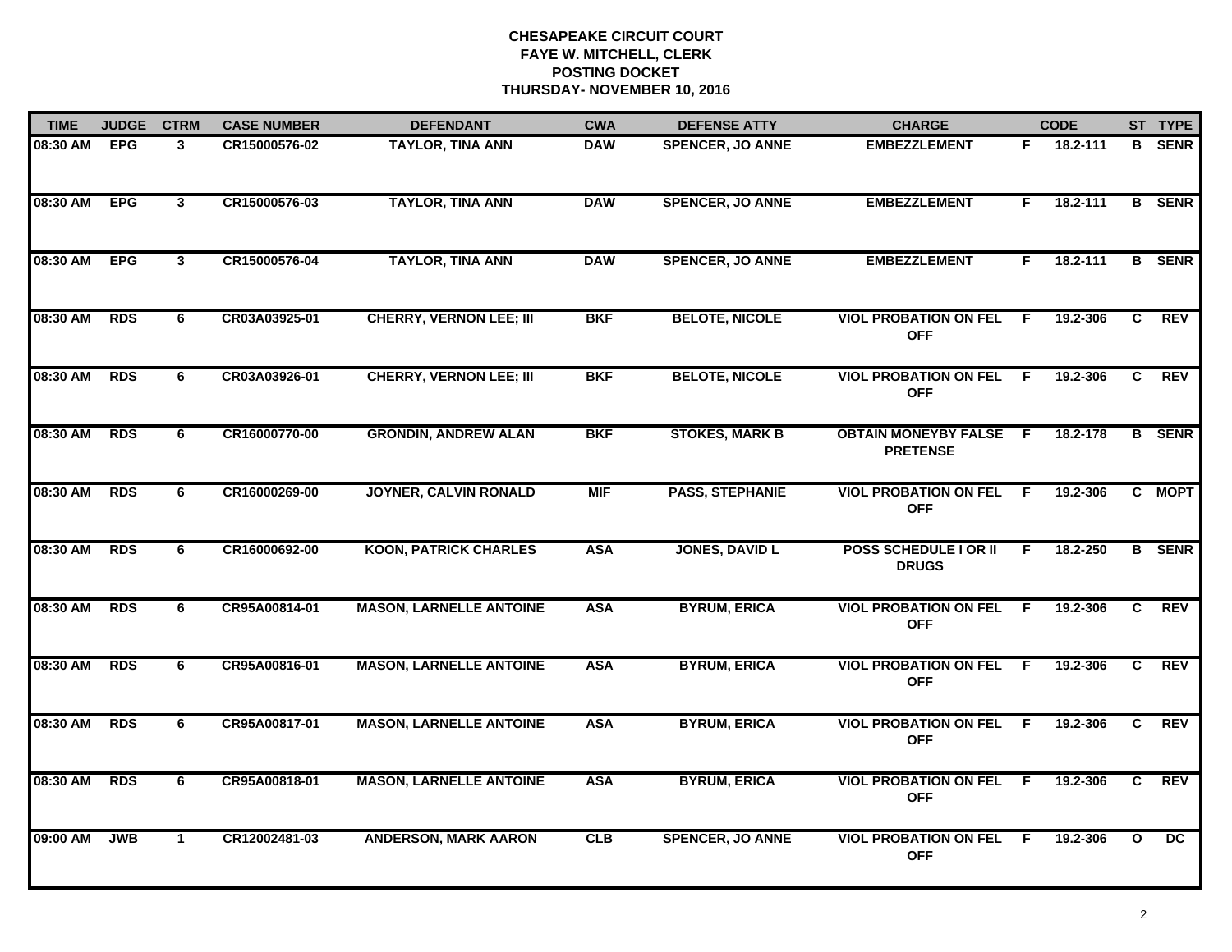| <b>TIME</b> | <b>JUDGE</b> | <b>CTRM</b>    | <b>CASE NUMBER</b> | <b>DEFENDANT</b>               | <b>CWA</b> | <b>DEFENSE ATTY</b>     | <b>CHARGE</b>                                  |     | <b>CODE</b> |              | ST TYPE         |
|-------------|--------------|----------------|--------------------|--------------------------------|------------|-------------------------|------------------------------------------------|-----|-------------|--------------|-----------------|
| 08:30 AM    | <b>EPG</b>   | 3              | CR15000576-02      | <b>TAYLOR, TINA ANN</b>        | <b>DAW</b> | <b>SPENCER, JO ANNE</b> | <b>EMBEZZLEMENT</b>                            | F.  | 18.2-111    |              | <b>B</b> SENR   |
| 08:30 AM    | <b>EPG</b>   | $\mathbf{3}$   | CR15000576-03      | <b>TAYLOR, TINA ANN</b>        | <b>DAW</b> | <b>SPENCER, JO ANNE</b> | <b>EMBEZZLEMENT</b>                            | F.  | 18.2-111    |              | <b>B</b> SENR   |
| 08:30 AM    | <b>EPG</b>   | $\overline{3}$ | CR15000576-04      | <b>TAYLOR, TINA ANN</b>        | <b>DAW</b> | <b>SPENCER, JO ANNE</b> | <b>EMBEZZLEMENT</b>                            | F.  | 18.2-111    |              | <b>B</b> SENR   |
| 08:30 AM    | <b>RDS</b>   | 6              | CR03A03925-01      | <b>CHERRY, VERNON LEE; III</b> | <b>BKF</b> | <b>BELOTE, NICOLE</b>   | <b>VIOL PROBATION ON FEL</b><br><b>OFF</b>     | F.  | 19.2-306    | C.           | <b>REV</b>      |
| 08:30 AM    | <b>RDS</b>   | 6              | CR03A03926-01      | <b>CHERRY, VERNON LEE; III</b> | <b>BKF</b> | <b>BELOTE, NICOLE</b>   | <b>VIOL PROBATION ON FEL</b><br><b>OFF</b>     | F.  | 19.2-306    | C            | <b>REV</b>      |
| 08:30 AM    | <b>RDS</b>   | 6              | CR16000770-00      | <b>GRONDIN, ANDREW ALAN</b>    | <b>BKF</b> | <b>STOKES, MARK B</b>   | <b>OBTAIN MONEYBY FALSE</b><br><b>PRETENSE</b> | - F | 18.2-178    |              | <b>B</b> SENR   |
| 08:30 AM    | <b>RDS</b>   | 6              | CR16000269-00      | <b>JOYNER, CALVIN RONALD</b>   | <b>MIF</b> | <b>PASS, STEPHANIE</b>  | <b>VIOL PROBATION ON FEL</b><br><b>OFF</b>     | - F | 19.2-306    |              | C MOPT          |
| 08:30 AM    | <b>RDS</b>   | 6              | CR16000692-00      | <b>KOON, PATRICK CHARLES</b>   | <b>ASA</b> | <b>JONES, DAVID L</b>   | <b>POSS SCHEDULE I OR II</b><br><b>DRUGS</b>   | F   | 18.2-250    |              | <b>B</b> SENR   |
| 08:30 AM    | <b>RDS</b>   | 6              | CR95A00814-01      | <b>MASON, LARNELLE ANTOINE</b> | <b>ASA</b> | <b>BYRUM, ERICA</b>     | <b>VIOL PROBATION ON FEL</b><br><b>OFF</b>     | F.  | 19.2-306    | C.           | <b>REV</b>      |
| 08:30 AM    | <b>RDS</b>   | 6              | CR95A00816-01      | <b>MASON, LARNELLE ANTOINE</b> | <b>ASA</b> | <b>BYRUM, ERICA</b>     | <b>VIOL PROBATION ON FEL</b><br><b>OFF</b>     | F.  | 19.2-306    | $\mathbf{C}$ | <b>REV</b>      |
| 08:30 AM    | <b>RDS</b>   | 6              | CR95A00817-01      | <b>MASON, LARNELLE ANTOINE</b> | <b>ASA</b> | <b>BYRUM, ERICA</b>     | <b>VIOL PROBATION ON FEL F</b><br><b>OFF</b>   |     | 19.2-306    | C            | <b>REV</b>      |
| 08:30 AM    | <b>RDS</b>   | 6              | CR95A00818-01      | <b>MASON, LARNELLE ANTOINE</b> | <b>ASA</b> | <b>BYRUM, ERICA</b>     | <b>VIOL PROBATION ON FEL</b><br><b>OFF</b>     | - F | 19.2-306    | C            | <b>REV</b>      |
| 09:00 AM    | <b>JWB</b>   | $\mathbf{1}$   | CR12002481-03      | <b>ANDERSON, MARK AARON</b>    | CLB        | <b>SPENCER, JO ANNE</b> | <b>VIOL PROBATION ON FEL</b><br><b>OFF</b>     | -F  | 19.2-306    | $\mathbf{o}$ | $\overline{DC}$ |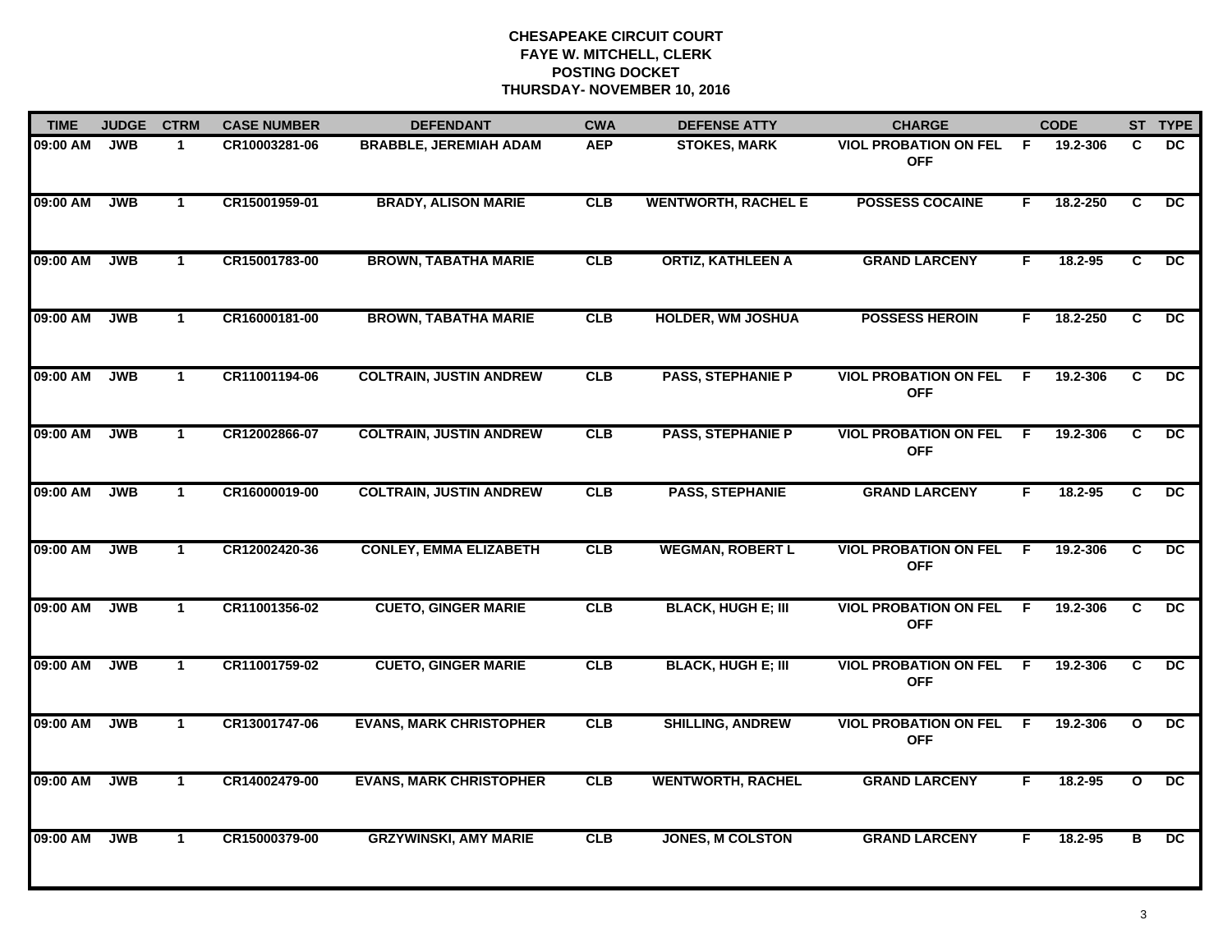| <b>TIME</b> | <b>JUDGE</b> | <b>CTRM</b>  | <b>CASE NUMBER</b> | <b>DEFENDANT</b>               | <b>CWA</b> | <b>DEFENSE ATTY</b>        | <b>CHARGE</b>                              |    | <b>CODE</b> |                | ST TYPE         |
|-------------|--------------|--------------|--------------------|--------------------------------|------------|----------------------------|--------------------------------------------|----|-------------|----------------|-----------------|
| 09:00 AM    | <b>JWB</b>   | $\mathbf{1}$ | CR10003281-06      | <b>BRABBLE, JEREMIAH ADAM</b>  | <b>AEP</b> | <b>STOKES, MARK</b>        | <b>VIOL PROBATION ON FEL</b><br><b>OFF</b> | F. | 19.2-306    | C              | DC.             |
| 09:00 AM    | <b>JWB</b>   | $\mathbf{1}$ | CR15001959-01      | <b>BRADY, ALISON MARIE</b>     | <b>CLB</b> | <b>WENTWORTH, RACHEL E</b> | <b>POSSESS COCAINE</b>                     | F  | 18.2-250    | C              | DC              |
| 09:00 AM    | <b>JWB</b>   | $\mathbf{1}$ | CR15001783-00      | <b>BROWN, TABATHA MARIE</b>    | CLB        | <b>ORTIZ, KATHLEEN A</b>   | <b>GRAND LARCENY</b>                       | F  | 18.2-95     | $\overline{c}$ | DC              |
| 09:00 AM    | <b>JWB</b>   | $\mathbf 1$  | CR16000181-00      | <b>BROWN, TABATHA MARIE</b>    | CLB        | <b>HOLDER, WM JOSHUA</b>   | <b>POSSESS HEROIN</b>                      | F. | 18.2-250    | C              | DC.             |
| 09:00 AM    | <b>JWB</b>   | $\mathbf{1}$ | CR11001194-06      | <b>COLTRAIN, JUSTIN ANDREW</b> | <b>CLB</b> | <b>PASS, STEPHANIE P</b>   | <b>VIOL PROBATION ON FEL</b><br><b>OFF</b> | F. | 19.2-306    | C              | DC.             |
| 09:00 AM    | <b>JWB</b>   | $\mathbf{1}$ | CR12002866-07      | <b>COLTRAIN, JUSTIN ANDREW</b> | <b>CLB</b> | <b>PASS, STEPHANIE P</b>   | <b>VIOL PROBATION ON FEL</b><br><b>OFF</b> | -F | 19.2-306    | C              | DC              |
| 09:00 AM    | <b>JWB</b>   | $\mathbf{1}$ | CR16000019-00      | <b>COLTRAIN, JUSTIN ANDREW</b> | CLB        | <b>PASS, STEPHANIE</b>     | <b>GRAND LARCENY</b>                       | F  | 18.2-95     | C              | DC              |
| 09:00 AM    | <b>JWB</b>   | $\mathbf{1}$ | CR12002420-36      | <b>CONLEY, EMMA ELIZABETH</b>  | CLB        | <b>WEGMAN, ROBERT L</b>    | <b>VIOL PROBATION ON FEL</b><br><b>OFF</b> | F. | 19.2-306    | $\overline{c}$ | DC              |
| 09:00 AM    | <b>JWB</b>   | $\mathbf{1}$ | CR11001356-02      | <b>CUETO, GINGER MARIE</b>     | CLB        | <b>BLACK, HUGH E; III</b>  | <b>VIOL PROBATION ON FEL</b><br><b>OFF</b> | F  | 19.2-306    | C              | $\overline{DC}$ |
| 09:00 AM    | <b>JWB</b>   | $\mathbf{1}$ | CR11001759-02      | <b>CUETO, GINGER MARIE</b>     | <b>CLB</b> | <b>BLACK, HUGH E; III</b>  | <b>VIOL PROBATION ON FEL</b><br><b>OFF</b> | F. | 19.2-306    | C              | DC              |
| 09:00 AM    | <b>JWB</b>   | $\mathbf{1}$ | CR13001747-06      | <b>EVANS, MARK CHRISTOPHER</b> | <b>CLB</b> | <b>SHILLING, ANDREW</b>    | <b>VIOL PROBATION ON FEL</b><br><b>OFF</b> | F  | 19.2-306    | $\mathbf{o}$   | DC              |
| 09:00 AM    | <b>JWB</b>   | $\mathbf 1$  | CR14002479-00      | <b>EVANS, MARK CHRISTOPHER</b> | <b>CLB</b> | <b>WENTWORTH, RACHEL</b>   | <b>GRAND LARCENY</b>                       | F. | 18.2-95     | $\mathbf{o}$   | DC              |
| 09:00 AM    | <b>JWB</b>   | $\mathbf{1}$ | CR15000379-00      | <b>GRZYWINSKI, AMY MARIE</b>   | CLB        | <b>JONES, M COLSTON</b>    | <b>GRAND LARCENY</b>                       | F. | 18.2-95     | в              | $\overline{DC}$ |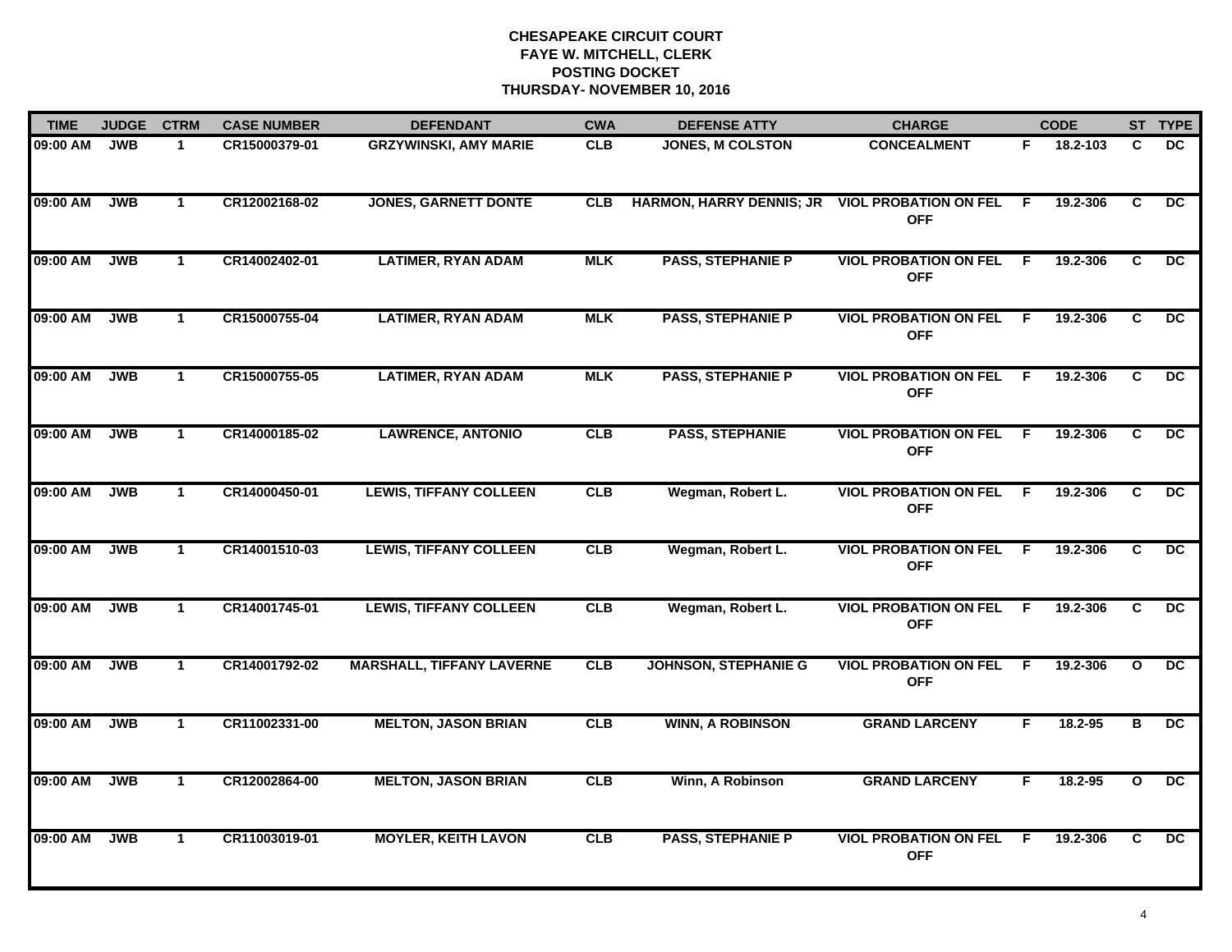| <b>TIME</b> | <b>JUDGE</b> | <b>CTRM</b>  | <b>CASE NUMBER</b> | <b>DEFENDANT</b>                 | <b>CWA</b> | <b>DEFENSE ATTY</b>             | <b>CHARGE</b>                                |     | <b>CODE</b> |                | ST TYPE         |
|-------------|--------------|--------------|--------------------|----------------------------------|------------|---------------------------------|----------------------------------------------|-----|-------------|----------------|-----------------|
| 09:00 AM    | <b>JWB</b>   | $\mathbf 1$  | CR15000379-01      | <b>GRZYWINSKI, AMY MARIE</b>     | <b>CLB</b> | <b>JONES, M COLSTON</b>         | <b>CONCEALMENT</b>                           | F.  | 18.2-103    | C              | <b>DC</b>       |
| 09:00 AM    | <b>JWB</b>   | $\mathbf{1}$ | CR12002168-02      | <b>JONES, GARNETT DONTE</b>      | <b>CLB</b> | <b>HARMON, HARRY DENNIS; JR</b> | <b>VIOL PROBATION ON FEL</b><br><b>OFF</b>   | -F  | 19.2-306    | C              | $\overline{DC}$ |
| 09:00 AM    | <b>JWB</b>   | $\mathbf{1}$ | CR14002402-01      | <b>LATIMER, RYAN ADAM</b>        | <b>MLK</b> | <b>PASS, STEPHANIE P</b>        | <b>VIOL PROBATION ON FEL</b><br><b>OFF</b>   | F.  | 19.2-306    | C.             | $\overline{DC}$ |
| 09:00 AM    | <b>JWB</b>   | $\mathbf 1$  | CR15000755-04      | <b>LATIMER, RYAN ADAM</b>        | <b>MLK</b> | <b>PASS, STEPHANIE P</b>        | <b>VIOL PROBATION ON FEL</b><br><b>OFF</b>   | E   | 19.2-306    | C              | <b>DC</b>       |
| 09:00 AM    | <b>JWB</b>   | $\mathbf{1}$ | CR15000755-05      | <b>LATIMER, RYAN ADAM</b>        | <b>MLK</b> | <b>PASS, STEPHANIE P</b>        | <b>VIOL PROBATION ON FEL</b><br><b>OFF</b>   | - F | 19.2-306    | C              | DC.             |
| 09:00 AM    | <b>JWB</b>   | $\mathbf{1}$ | CR14000185-02      | <b>LAWRENCE, ANTONIO</b>         | CLB        | <b>PASS, STEPHANIE</b>          | <b>VIOL PROBATION ON FEL F</b><br><b>OFF</b> |     | 19.2-306    | C              | DC.             |
| 09:00 AM    | <b>JWB</b>   | $\mathbf{1}$ | CR14000450-01      | <b>LEWIS, TIFFANY COLLEEN</b>    | CLB        | Wegman, Robert L.               | <b>VIOL PROBATION ON FEL</b><br><b>OFF</b>   | - F | 19.2-306    | C              | $\overline{DC}$ |
| 09:00 AM    | <b>JWB</b>   | $\mathbf{1}$ | CR14001510-03      | <b>LEWIS, TIFFANY COLLEEN</b>    | CLB        | Wegman, Robert L.               | <b>VIOL PROBATION ON FEL</b><br><b>OFF</b>   | F.  | 19.2-306    | $\overline{c}$ | DC              |
| 09:00 AM    | <b>JWB</b>   | $\mathbf 1$  | CR14001745-01      | <b>LEWIS, TIFFANY COLLEEN</b>    | CLB        | Wegman, Robert L.               | <b>VIOL PROBATION ON FEL</b><br><b>OFF</b>   | -F  | 19.2-306    | C              | DC.             |
| 09:00 AM    | <b>JWB</b>   | $\mathbf{1}$ | CR14001792-02      | <b>MARSHALL, TIFFANY LAVERNE</b> | CLB        | <b>JOHNSON, STEPHANIE G</b>     | <b>VIOL PROBATION ON FEL</b><br><b>OFF</b>   | E   | 19.2-306    | $\mathbf{o}$   | <b>DC</b>       |
| 09:00 AM    | <b>JWB</b>   | $\mathbf{1}$ | CR11002331-00      | <b>MELTON, JASON BRIAN</b>       | <b>CLB</b> | <b>WINN, A ROBINSON</b>         | <b>GRAND LARCENY</b>                         | F.  | 18.2-95     | в              | DC              |
| 09:00 AM    | <b>JWB</b>   | $\mathbf{1}$ | CR12002864-00      | <b>MELTON, JASON BRIAN</b>       | CLB        | Winn, A Robinson                | <b>GRAND LARCENY</b>                         | F   | $18.2 - 95$ | $\mathbf{o}$   | $\overline{DC}$ |
| 09:00 AM    | <b>JWB</b>   | $\mathbf{1}$ | CR11003019-01      | <b>MOYLER, KEITH LAVON</b>       | CLB        | <b>PASS, STEPHANIE P</b>        | <b>VIOL PROBATION ON FEL</b><br><b>OFF</b>   | E   | 19.2-306    | $\overline{c}$ | $\overline{DC}$ |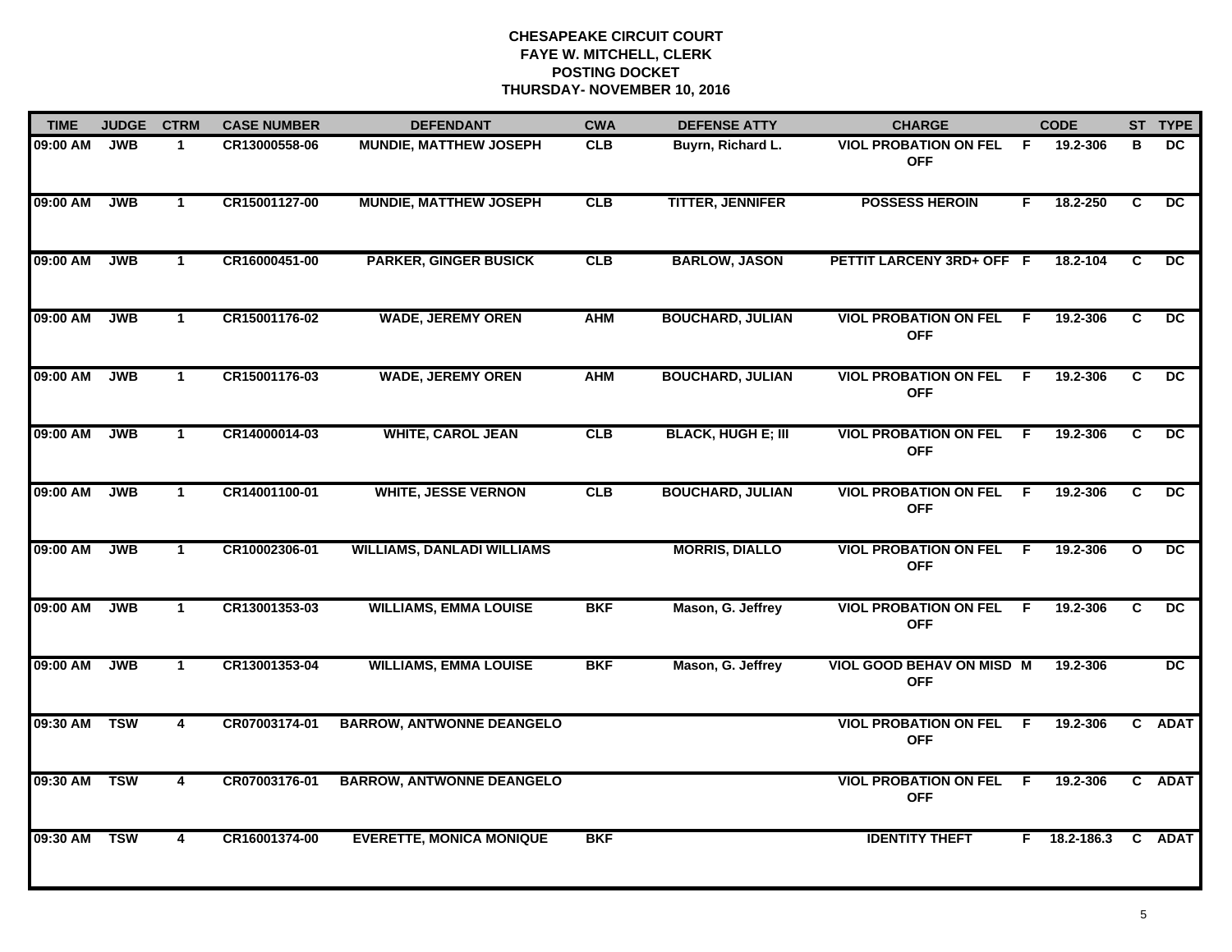| <b>TIME</b> | <b>JUDGE</b> | <b>CTRM</b>             | <b>CASE NUMBER</b> | <b>DEFENDANT</b>                  | <b>CWA</b> | <b>DEFENSE ATTY</b>       | <b>CHARGE</b>                                  |     | <b>CODE</b> |              | ST TYPE         |
|-------------|--------------|-------------------------|--------------------|-----------------------------------|------------|---------------------------|------------------------------------------------|-----|-------------|--------------|-----------------|
| 09:00 AM    | <b>JWB</b>   | 1                       | CR13000558-06      | <b>MUNDIE, MATTHEW JOSEPH</b>     | <b>CLB</b> | Buyrn, Richard L.         | <b>VIOL PROBATION ON FEL</b><br><b>OFF</b>     | -F  | 19.2-306    | в            | DC.             |
| 09:00 AM    | <b>JWB</b>   | $\mathbf{1}$            | CR15001127-00      | <b>MUNDIE, MATTHEW JOSEPH</b>     | CLB        | <b>TITTER, JENNIFER</b>   | <b>POSSESS HEROIN</b>                          | F.  | 18.2-250    | C            | DC              |
| 09:00 AM    | <b>JWB</b>   | $\mathbf{1}$            | CR16000451-00      | <b>PARKER, GINGER BUSICK</b>      | CLB        | <b>BARLOW, JASON</b>      | PETTIT LARCENY 3RD+ OFF F                      |     | 18.2-104    | C            | DC              |
| 09:00 AM    | <b>JWB</b>   | $\mathbf 1$             | CR15001176-02      | <b>WADE, JEREMY OREN</b>          | <b>AHM</b> | <b>BOUCHARD, JULIAN</b>   | <b>VIOL PROBATION ON FEL</b><br><b>OFF</b>     | - F | 19.2-306    | C.           | <b>DC</b>       |
| 09:00 AM    | <b>JWB</b>   | $\mathbf{1}$            | CR15001176-03      | <b>WADE, JEREMY OREN</b>          | <b>AHM</b> | <b>BOUCHARD, JULIAN</b>   | <b>VIOL PROBATION ON FEL</b><br><b>OFF</b>     | F.  | 19.2-306    | C.           | <b>DC</b>       |
| 09:00 AM    | <b>JWB</b>   | $\mathbf{1}$            | CR14000014-03      | <b>WHITE, CAROL JEAN</b>          | CLB        | <b>BLACK, HUGH E; III</b> | <b>VIOL PROBATION ON FEL</b><br><b>OFF</b>     | F.  | 19.2-306    | C.           | DC              |
| 09:00 AM    | <b>JWB</b>   | $\mathbf{1}$            | CR14001100-01      | <b>WHITE, JESSE VERNON</b>        | CLB        | <b>BOUCHARD, JULIAN</b>   | <b>VIOL PROBATION ON FEL</b><br><b>OFF</b>     | F.  | 19.2-306    | C            | $\overline{DC}$ |
| 09:00 AM    | <b>JWB</b>   | $\mathbf{1}$            | CR10002306-01      | <b>WILLIAMS, DANLADI WILLIAMS</b> |            | <b>MORRIS, DIALLO</b>     | <b>VIOL PROBATION ON FEL</b><br><b>OFF</b>     | F.  | 19.2-306    | $\mathbf{o}$ | DC              |
| 09:00 AM    | <b>JWB</b>   | $\blacktriangleleft$    | CR13001353-03      | <b>WILLIAMS, EMMA LOUISE</b>      | <b>BKF</b> | Mason, G. Jeffrey         | <b>VIOL PROBATION ON FEL</b><br><b>OFF</b>     | E   | 19.2-306    | C            | <b>DC</b>       |
| 09:00 AM    | <b>JWB</b>   | $\mathbf{1}$            | CR13001353-04      | <b>WILLIAMS, EMMA LOUISE</b>      | <b>BKF</b> | Mason, G. Jeffrey         | <b>VIOL GOOD BEHAV ON MISD M</b><br><b>OFF</b> |     | 19.2-306    |              | $\overline{DC}$ |
| 09:30 AM    | <b>TSW</b>   | $\overline{4}$          | CR07003174-01      | <b>BARROW, ANTWONNE DEANGELO</b>  |            |                           | <b>VIOL PROBATION ON FEL F</b><br><b>OFF</b>   |     | 19.2-306    |              | C ADAT          |
| 09:30 AM    | <b>TSW</b>   | $\overline{\mathbf{4}}$ | CR07003176-01      | <b>BARROW, ANTWONNE DEANGELO</b>  |            |                           | <b>VIOL PROBATION ON FEL</b><br><b>OFF</b>     | F.  | 19.2-306    |              | C ADAT          |
| 09:30 AM    | <b>TSW</b>   | 4                       | CR16001374-00      | <b>EVERETTE, MONICA MONIQUE</b>   | <b>BKF</b> |                           | <b>IDENTITY THEFT</b>                          | F.  | 18.2-186.3  |              | C ADAT          |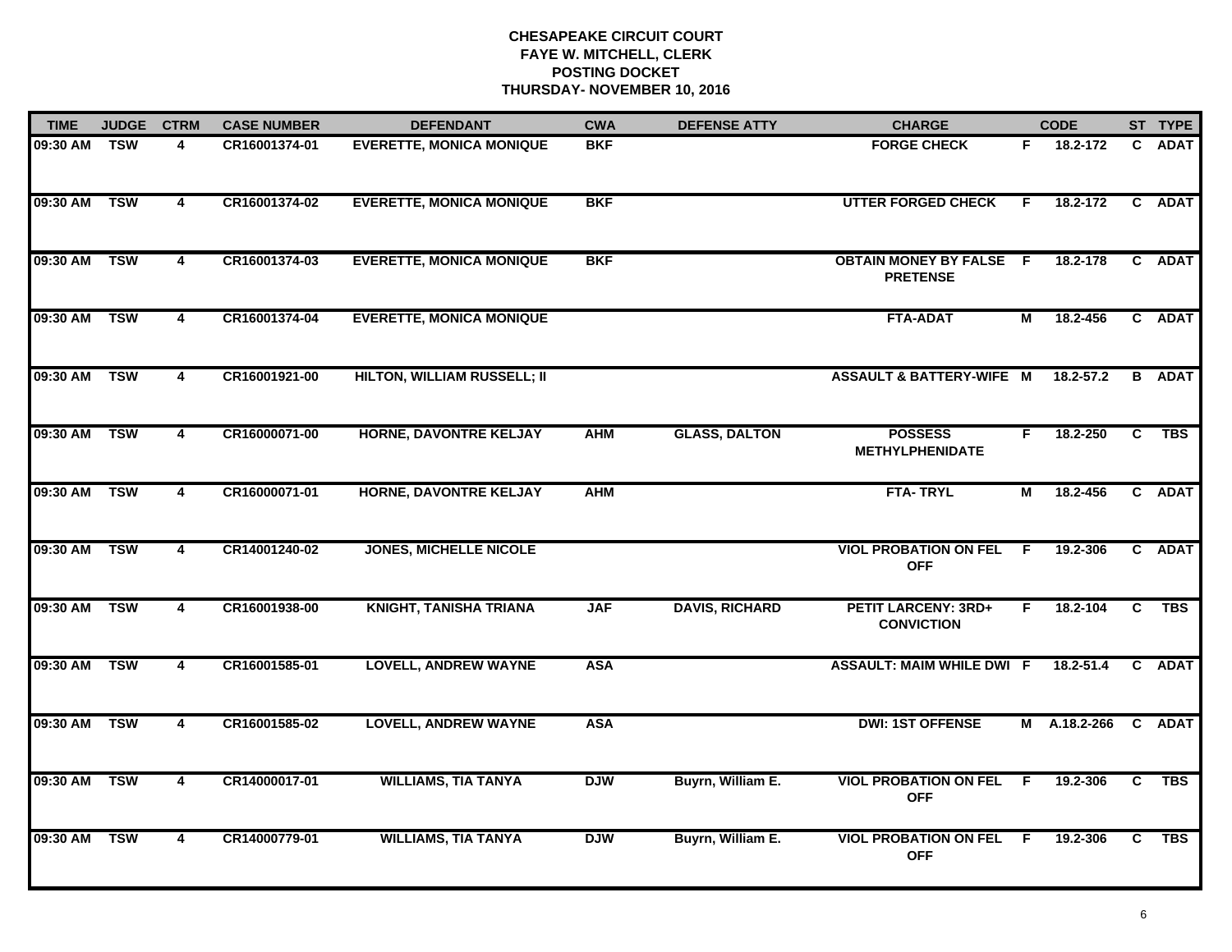| <b>TIME</b>  | <b>JUDGE</b> | <b>CTRM</b>             | <b>CASE NUMBER</b> | <b>DEFENDANT</b>                   | <b>CWA</b> | <b>DEFENSE ATTY</b>   | <b>CHARGE</b>                                     |     | <b>CODE</b>         |              | ST TYPE       |
|--------------|--------------|-------------------------|--------------------|------------------------------------|------------|-----------------------|---------------------------------------------------|-----|---------------------|--------------|---------------|
| 09:30 AM     | <b>TSW</b>   | 4                       | CR16001374-01      | <b>EVERETTE, MONICA MONIQUE</b>    | <b>BKF</b> |                       | <b>FORGE CHECK</b>                                | F.  | 18.2-172            | $\mathbf{C}$ | <b>ADAT</b>   |
| 09:30 AM TSW |              | 4                       | CR16001374-02      | <b>EVERETTE, MONICA MONIQUE</b>    | <b>BKF</b> |                       | <b>UTTER FORGED CHECK</b>                         | F.  | 18.2-172            | $\mathbf{c}$ | <b>ADAT</b>   |
| 09:30 AM TSW |              | $\overline{\mathbf{4}}$ | CR16001374-03      | <b>EVERETTE, MONICA MONIQUE</b>    | <b>BKF</b> |                       | <b>OBTAIN MONEY BY FALSE F</b><br><b>PRETENSE</b> |     | 18.2-178            |              | C ADAT        |
| 09:30 AM     | <b>TSW</b>   | 4                       | CR16001374-04      | <b>EVERETTE, MONICA MONIQUE</b>    |            |                       | <b>FTA-ADAT</b>                                   | М   | 18.2-456            |              | C ADAT        |
| 09:30 AM     | <b>TSW</b>   | $\overline{4}$          | CR16001921-00      | <b>HILTON, WILLIAM RUSSELL; II</b> |            |                       | <b>ASSAULT &amp; BATTERY-WIFE M</b>               |     | 18.2-57.2           |              | <b>B</b> ADAT |
| 09:30 AM TSW |              | 4                       | CR16000071-00      | <b>HORNE, DAVONTRE KELJAY</b>      | <b>AHM</b> | <b>GLASS, DALTON</b>  | <b>POSSESS</b><br><b>METHYLPHENIDATE</b>          | F.  | 18.2-250            |              | C TBS         |
| 09:30 AM     | <b>TSW</b>   | $\overline{4}$          | CR16000071-01      | <b>HORNE, DAVONTRE KELJAY</b>      | <b>AHM</b> |                       | <b>FTA-TRYL</b>                                   | М   | 18.2-456            |              | C ADAT        |
| 09:30 AM     | <b>TSW</b>   | $\overline{\mathbf{4}}$ | CR14001240-02      | <b>JONES, MICHELLE NICOLE</b>      |            |                       | <b>VIOL PROBATION ON FEL</b><br><b>OFF</b>        | - F | 19.2-306            |              | C ADAT        |
| 09:30 AM     | <b>TSW</b>   | 4                       | CR16001938-00      | <b>KNIGHT, TANISHA TRIANA</b>      | <b>JAF</b> | <b>DAVIS, RICHARD</b> | <b>PETIT LARCENY: 3RD+</b><br><b>CONVICTION</b>   | F.  | 18.2-104            | C            | <b>TBS</b>    |
| 09:30 AM     | <b>TSW</b>   | $\overline{4}$          | CR16001585-01      | <b>LOVELL, ANDREW WAYNE</b>        | <b>ASA</b> |                       | <b>ASSAULT: MAIM WHILE DWI F</b>                  |     | 18.2-51.4           |              | C ADAT        |
| 09:30 AM TSW |              | 4                       | CR16001585-02      | <b>LOVELL, ANDREW WAYNE</b>        | <b>ASA</b> |                       | <b>DWI: 1ST OFFENSE</b>                           |     | M A.18.2-266 C ADAT |              |               |
| 09:30 AM     | <b>TSW</b>   | $\overline{\mathbf{4}}$ | CR14000017-01      | <b>WILLIAMS, TIA TANYA</b>         | <b>DJW</b> | Buyrn, William E.     | <b>VIOL PROBATION ON FEL</b><br><b>OFF</b>        | - F | 19.2-306            | C            | <b>TBS</b>    |
| 09:30 AM     | <b>TSW</b>   | $\overline{\mathbf{4}}$ | CR14000779-01      | <b>WILLIAMS, TIA TANYA</b>         | <b>DJW</b> | Buyrn, William E.     | <b>VIOL PROBATION ON FEL</b><br><b>OFF</b>        | - F | 19.2-306            | C.           | <b>TBS</b>    |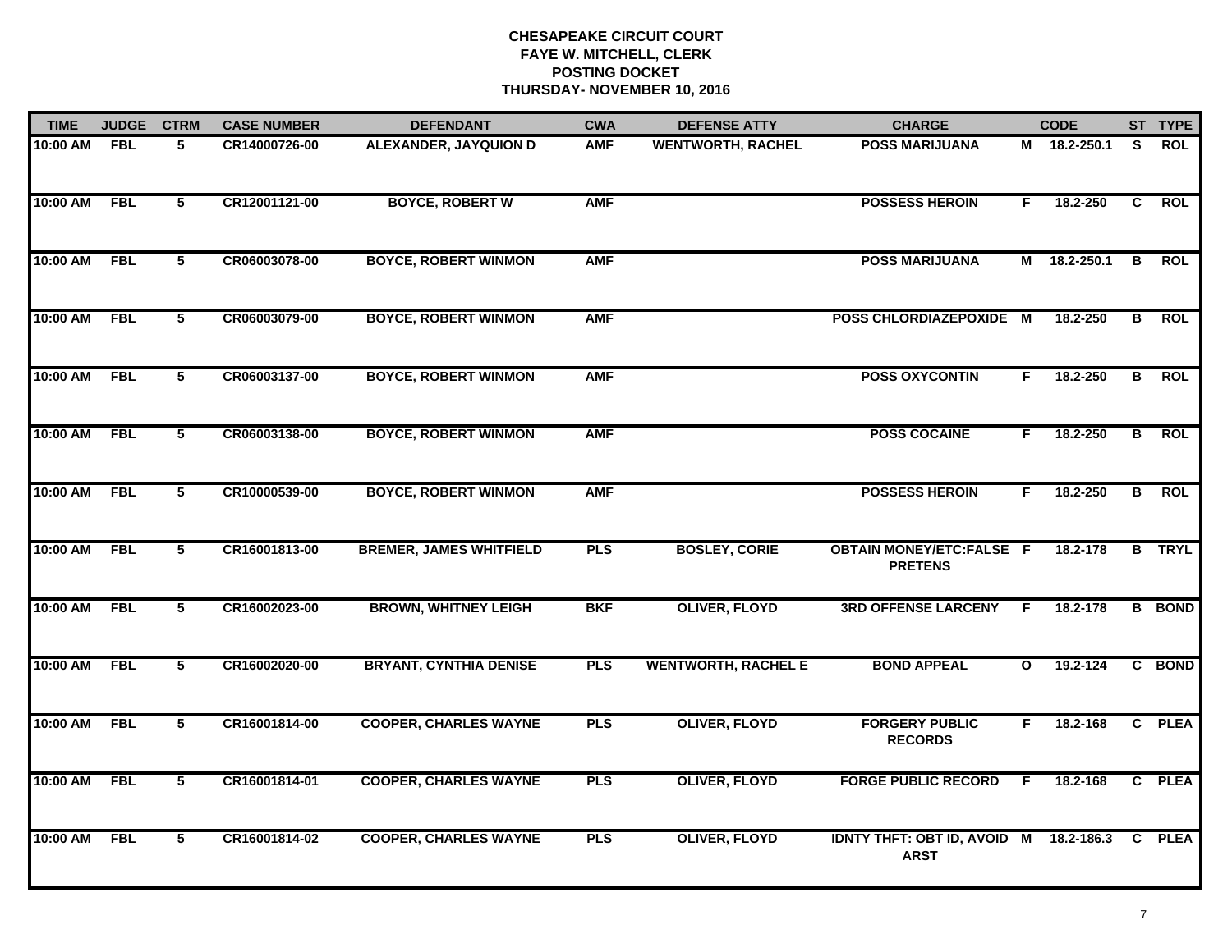| <b>TIME</b> | <b>JUDGE</b> | <b>CTRM</b>    | <b>CASE NUMBER</b> | <b>DEFENDANT</b>               | <b>CWA</b> | <b>DEFENSE ATTY</b>        | <b>CHARGE</b>                                         |              | <b>CODE</b>  |                | ST TYPE       |
|-------------|--------------|----------------|--------------------|--------------------------------|------------|----------------------------|-------------------------------------------------------|--------------|--------------|----------------|---------------|
| 10:00 AM    | <b>FBL</b>   | 5              | CR14000726-00      | <b>ALEXANDER, JAYQUION D</b>   | <b>AMF</b> | <b>WENTWORTH, RACHEL</b>   | <b>POSS MARIJUANA</b>                                 |              | M 18.2-250.1 | S.             | <b>ROL</b>    |
| 10:00 AM    | <b>FBL</b>   | $\overline{5}$ | CR12001121-00      | <b>BOYCE, ROBERT W</b>         | <b>AMF</b> |                            | <b>POSSESS HEROIN</b>                                 | F.           | 18.2-250     | C              | <b>ROL</b>    |
| 10:00 AM    | <b>FBL</b>   | $\overline{5}$ | CR06003078-00      | <b>BOYCE, ROBERT WINMON</b>    | <b>AMF</b> |                            | <b>POSS MARIJUANA</b>                                 | М            | 18.2-250.1   | B              | <b>ROL</b>    |
| 10:00 AM    | <b>FBL</b>   | 5              | CR06003079-00      | <b>BOYCE, ROBERT WINMON</b>    | <b>AMF</b> |                            | POSS CHLORDIAZEPOXIDE M                               |              | 18.2-250     | В              | <b>ROL</b>    |
| 10:00 AM    | <b>FBL</b>   | 5              | CR06003137-00      | <b>BOYCE, ROBERT WINMON</b>    | <b>AMF</b> |                            | <b>POSS OXYCONTIN</b>                                 | F.           | 18.2-250     | B              | <b>ROL</b>    |
| 10:00 AM    | <b>FBL</b>   | $\overline{5}$ | CR06003138-00      | <b>BOYCE, ROBERT WINMON</b>    | <b>AMF</b> |                            | <b>POSS COCAINE</b>                                   | F.           | 18.2-250     | B              | <b>ROL</b>    |
| 10:00 AM    | <b>FBL</b>   | $\overline{5}$ | CR10000539-00      | <b>BOYCE, ROBERT WINMON</b>    | <b>AMF</b> |                            | <b>POSSESS HEROIN</b>                                 | F.           | 18.2-250     | $\overline{B}$ | <b>ROL</b>    |
| 10:00 AM    | <b>FBL</b>   | 5              | CR16001813-00      | <b>BREMER, JAMES WHITFIELD</b> | <b>PLS</b> | <b>BOSLEY, CORIE</b>       | <b>OBTAIN MONEY/ETC:FALSE F</b><br><b>PRETENS</b>     |              | 18.2-178     |                | <b>B</b> TRYL |
| 10:00 AM    | <b>FBL</b>   | 5              | CR16002023-00      | <b>BROWN, WHITNEY LEIGH</b>    | <b>BKF</b> | <b>OLIVER, FLOYD</b>       | <b>3RD OFFENSE LARCENY</b>                            | F            | 18.2-178     |                | <b>B</b> BOND |
| 10:00 AM    | <b>FBL</b>   | $\overline{5}$ | CR16002020-00      | <b>BRYANT, CYNTHIA DENISE</b>  | <b>PLS</b> | <b>WENTWORTH, RACHEL E</b> | <b>BOND APPEAL</b>                                    | $\mathbf{o}$ | 19.2-124     |                | C BOND        |
| 10:00 AM    | <b>FBL</b>   | 5              | CR16001814-00      | <b>COOPER, CHARLES WAYNE</b>   | <b>PLS</b> | <b>OLIVER, FLOYD</b>       | <b>FORGERY PUBLIC</b><br><b>RECORDS</b>               | F.           | 18.2-168     |                | C PLEA        |
| 10:00 AM    | <b>FBL</b>   | $\overline{5}$ | CR16001814-01      | <b>COOPER, CHARLES WAYNE</b>   | <b>PLS</b> | <b>OLIVER, FLOYD</b>       | <b>FORGE PUBLIC RECORD</b>                            | F.           | 18.2-168     |                | C PLEA        |
| 10:00 AM    | <b>FBL</b>   | 5              | CR16001814-02      | <b>COOPER, CHARLES WAYNE</b>   | <b>PLS</b> | <b>OLIVER, FLOYD</b>       | IDNTY THFT: OBT ID, AVOID M 18.2-186.3<br><b>ARST</b> |              |              |                | C PLEA        |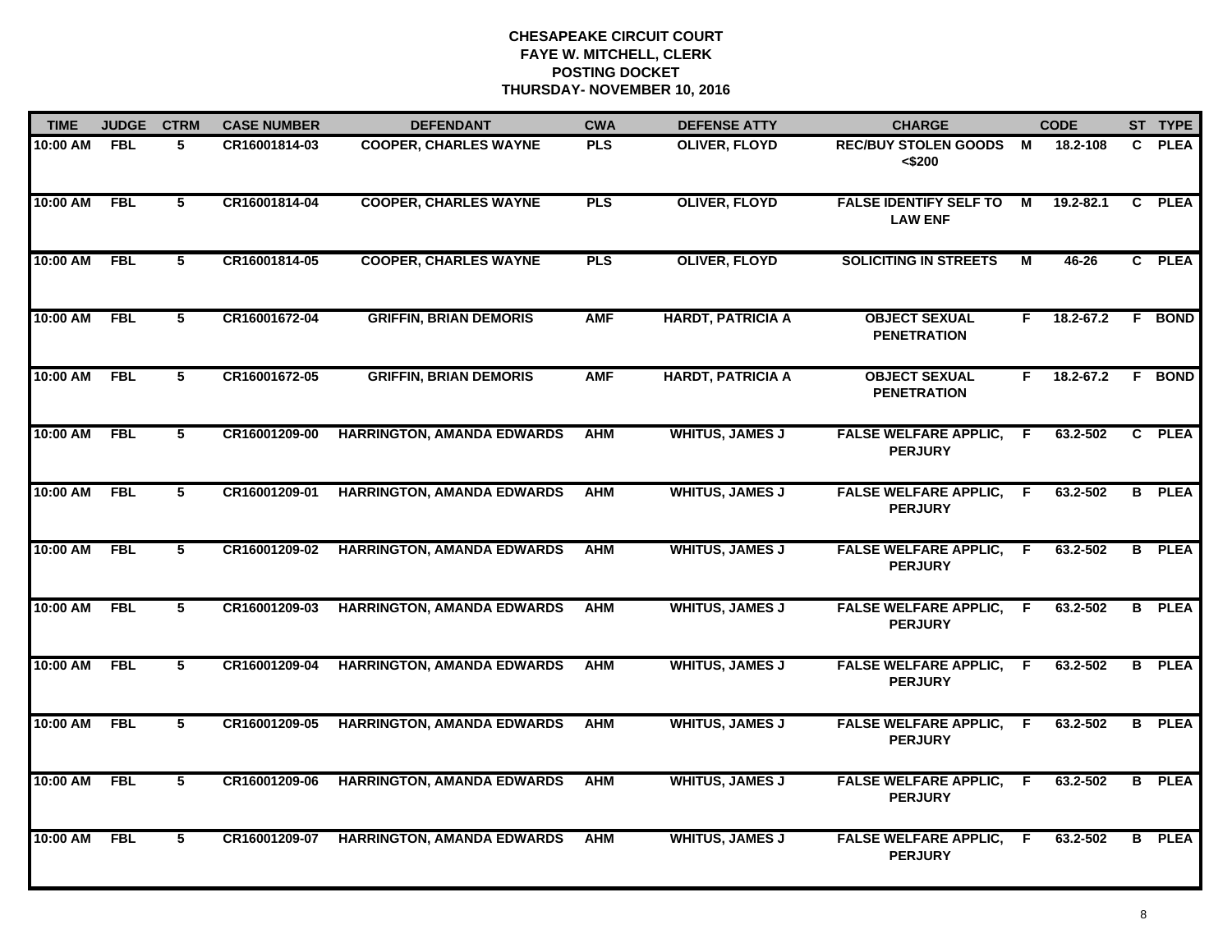| <b>TIME</b> | <b>JUDGE</b> | <b>CTRM</b>             | <b>CASE NUMBER</b> | <b>DEFENDANT</b>                  | <b>CWA</b> | <b>DEFENSE ATTY</b>      | <b>CHARGE</b>                                   |                | <b>CODE</b>   | ST TYPE       |
|-------------|--------------|-------------------------|--------------------|-----------------------------------|------------|--------------------------|-------------------------------------------------|----------------|---------------|---------------|
| 10:00 AM    | <b>FBL</b>   | 5                       | CR16001814-03      | <b>COOPER, CHARLES WAYNE</b>      | <b>PLS</b> | <b>OLIVER, FLOYD</b>     | <b>REC/BUY STOLEN GOODS M</b><br>< \$200        |                | 18.2-108      | C PLEA        |
| 10:00 AM    | <b>FBL</b>   | $\overline{5}$          | CR16001814-04      | <b>COOPER, CHARLES WAYNE</b>      | <b>PLS</b> | <b>OLIVER, FLOYD</b>     | <b>FALSE IDENTIFY SELF TO</b><br><b>LAW ENF</b> | $\overline{M}$ | $19.2 - 82.1$ | C PLEA        |
| 10:00 AM    | <b>FBL</b>   | $\overline{5}$          | CR16001814-05      | <b>COOPER, CHARLES WAYNE</b>      | <b>PLS</b> | <b>OLIVER, FLOYD</b>     | <b>SOLICITING IN STREETS</b>                    | $\overline{M}$ | $46 - 26$     | C PLEA        |
| 10:00 AM    | <b>FBL</b>   | 5                       | CR16001672-04      | <b>GRIFFIN, BRIAN DEMORIS</b>     | <b>AMF</b> | <b>HARDT, PATRICIA A</b> | <b>OBJECT SEXUAL</b><br><b>PENETRATION</b>      | F.             | 18.2-67.2     | F BOND        |
| 10:00 AM    | <b>FBL</b>   | 5                       | CR16001672-05      | <b>GRIFFIN, BRIAN DEMORIS</b>     | <b>AMF</b> | <b>HARDT, PATRICIA A</b> | <b>OBJECT SEXUAL</b><br><b>PENETRATION</b>      | F.             | $18.2 - 67.2$ | F BOND        |
| 10:00 AM    | <b>FBL</b>   | 5                       | CR16001209-00      | <b>HARRINGTON, AMANDA EDWARDS</b> | <b>AHM</b> | <b>WHITUS, JAMES J</b>   | <b>FALSE WELFARE APPLIC,</b><br><b>PERJURY</b>  | F.             | 63.2-502      | C PLEA        |
| 10:00 AM    | <b>FBL</b>   | 5                       | CR16001209-01      | <b>HARRINGTON, AMANDA EDWARDS</b> | <b>AHM</b> | <b>WHITUS, JAMES J</b>   | <b>FALSE WELFARE APPLIC,</b><br><b>PERJURY</b>  | F.             | 63.2-502      | <b>B</b> PLEA |
| 10:00 AM    | <b>FBL</b>   | $\overline{5}$          | CR16001209-02      | <b>HARRINGTON, AMANDA EDWARDS</b> | <b>AHM</b> | <b>WHITUS, JAMES J</b>   | <b>FALSE WELFARE APPLIC,</b><br><b>PERJURY</b>  | E              | 63.2-502      | <b>B</b> PLEA |
| 10:00 AM    | <b>FBL</b>   | 5                       | CR16001209-03      | <b>HARRINGTON, AMANDA EDWARDS</b> | <b>AHM</b> | <b>WHITUS, JAMES J</b>   | <b>FALSE WELFARE APPLIC,</b><br><b>PERJURY</b>  | F              | 63.2-502      | <b>B</b> PLEA |
| 10:00 AM    | <b>FBL</b>   | 5                       | CR16001209-04      | <b>HARRINGTON, AMANDA EDWARDS</b> | <b>AHM</b> | <b>WHITUS, JAMES J</b>   | <b>FALSE WELFARE APPLIC,</b><br><b>PERJURY</b>  | E              | 63.2-502      | <b>B</b> PLEA |
| 10:00 AM    | <b>FBL</b>   | 5                       | CR16001209-05      | <b>HARRINGTON, AMANDA EDWARDS</b> | <b>AHM</b> | <b>WHITUS, JAMES J</b>   | <b>FALSE WELFARE APPLIC,</b><br><b>PERJURY</b>  | F.             | 63.2-502      | <b>B</b> PLEA |
| 10:00 AM    | <b>FBL</b>   | $\overline{\mathbf{5}}$ | CR16001209-06      | <b>HARRINGTON, AMANDA EDWARDS</b> | <b>AHM</b> | <b>WHITUS, JAMES J</b>   | <b>FALSE WELFARE APPLIC,</b><br><b>PERJURY</b>  | F.             | 63.2-502      | <b>B</b> PLEA |
| 10:00 AM    | <b>FBL</b>   | $\overline{5}$          | CR16001209-07      | <b>HARRINGTON, AMANDA EDWARDS</b> | <b>AHM</b> | <b>WHITUS, JAMES J</b>   | <b>FALSE WELFARE APPLIC,</b><br><b>PERJURY</b>  | F.             | 63.2-502      | <b>B</b> PLEA |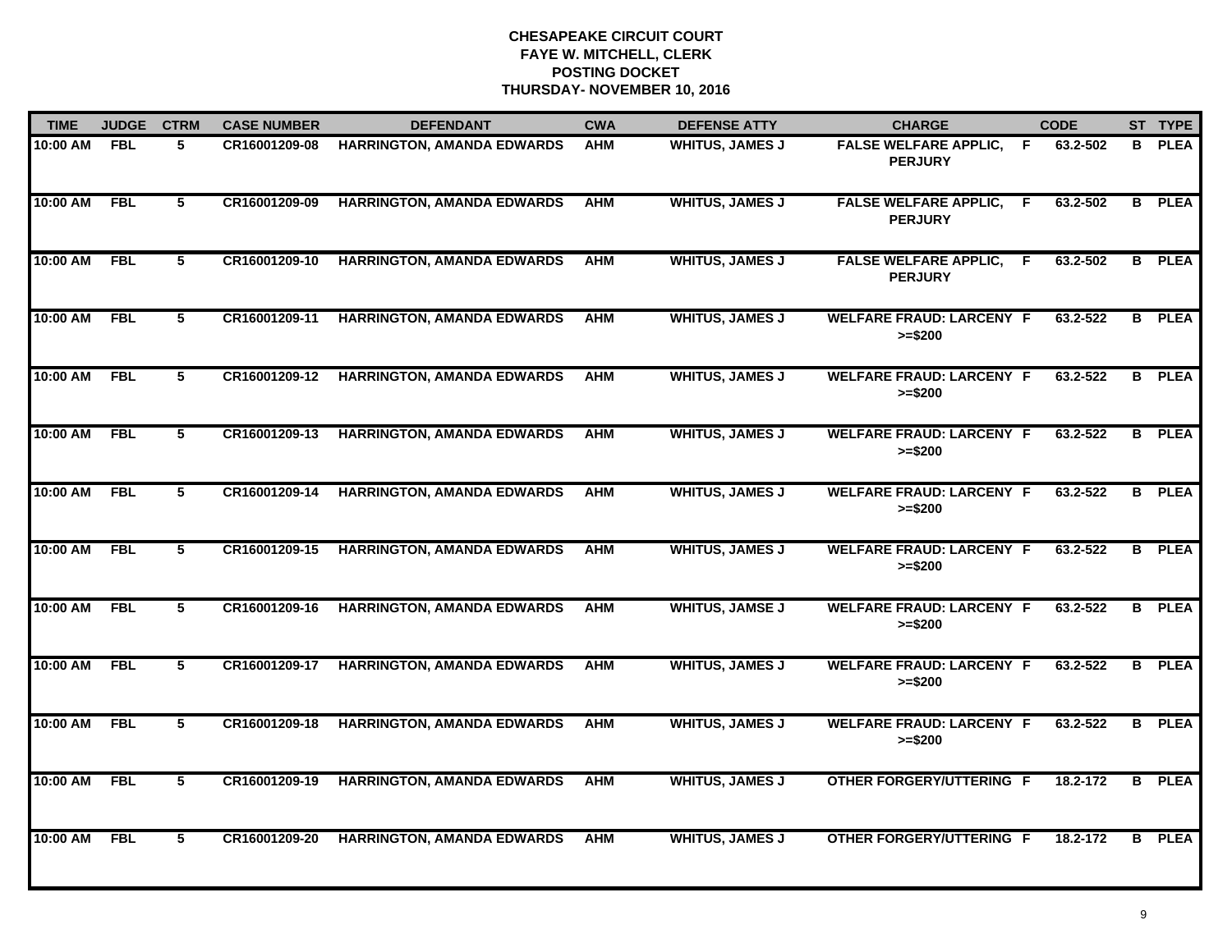| <b>TIME</b> | <b>JUDGE</b> | <b>CTRM</b>    | <b>CASE NUMBER</b> | <b>DEFENDANT</b>                  | <b>CWA</b> | <b>DEFENSE ATTY</b>    | <b>CHARGE</b>                                  | <b>CODE</b>    | ST TYPE       |
|-------------|--------------|----------------|--------------------|-----------------------------------|------------|------------------------|------------------------------------------------|----------------|---------------|
| 10:00 AM    | <b>FBL</b>   | 5              | CR16001209-08      | <b>HARRINGTON, AMANDA EDWARDS</b> | <b>AHM</b> | <b>WHITUS, JAMES J</b> | <b>FALSE WELFARE APPLIC,</b><br><b>PERJURY</b> | F.<br>63.2-502 | <b>B</b> PLEA |
| 10:00 AM    | <b>FBL</b>   | 5              | CR16001209-09      | <b>HARRINGTON, AMANDA EDWARDS</b> | <b>AHM</b> | <b>WHITUS, JAMES J</b> | <b>FALSE WELFARE APPLIC,</b><br><b>PERJURY</b> | 63.2-502<br>F. | <b>B</b> PLEA |
| 10:00 AM    | <b>FBL</b>   | 5              | CR16001209-10      | <b>HARRINGTON, AMANDA EDWARDS</b> | <b>AHM</b> | <b>WHITUS, JAMES J</b> | <b>FALSE WELFARE APPLIC,</b><br><b>PERJURY</b> | 63.2-502<br>F. | <b>B</b> PLEA |
| 10:00 AM    | <b>FBL</b>   | 5              | CR16001209-11      | <b>HARRINGTON, AMANDA EDWARDS</b> | <b>AHM</b> | <b>WHITUS, JAMES J</b> | <b>WELFARE FRAUD: LARCENY F</b><br>$>= $200$   | 63.2-522       | <b>B</b> PLEA |
| 10:00 AM    | <b>FBL</b>   | 5              | CR16001209-12      | <b>HARRINGTON, AMANDA EDWARDS</b> | <b>AHM</b> | <b>WHITUS, JAMES J</b> | <b>WELFARE FRAUD: LARCENY F</b><br>$>= $200$   | 63.2-522       | <b>B</b> PLEA |
| 10:00 AM    | <b>FBL</b>   | 5              | CR16001209-13      | <b>HARRINGTON, AMANDA EDWARDS</b> | <b>AHM</b> | <b>WHITUS, JAMES J</b> | <b>WELFARE FRAUD: LARCENY F</b><br>$>= $200$   | 63.2-522       | <b>B</b> PLEA |
| 10:00 AM    | <b>FBL</b>   | $\overline{5}$ | CR16001209-14      | <b>HARRINGTON, AMANDA EDWARDS</b> | <b>AHM</b> | <b>WHITUS, JAMES J</b> | <b>WELFARE FRAUD: LARCENY F</b><br>$>= $200$   | 63.2-522       | <b>B</b> PLEA |
| 10:00 AM    | <b>FBL</b>   | $\overline{5}$ | CR16001209-15      | <b>HARRINGTON, AMANDA EDWARDS</b> | <b>AHM</b> | <b>WHITUS, JAMES J</b> | <b>WELFARE FRAUD: LARCENY F</b><br>$>= $200$   | 63.2-522       | <b>B</b> PLEA |
| 10:00 AM    | <b>FBL</b>   | 5              | CR16001209-16      | <b>HARRINGTON, AMANDA EDWARDS</b> | <b>AHM</b> | <b>WHITUS, JAMSE J</b> | <b>WELFARE FRAUD: LARCENY F</b><br>$>= $200$   | 63.2-522       | <b>B</b> PLEA |
| 10:00 AM    | <b>FBL</b>   | 5              | CR16001209-17      | <b>HARRINGTON, AMANDA EDWARDS</b> | <b>AHM</b> | <b>WHITUS, JAMES J</b> | <b>WELFARE FRAUD: LARCENY F</b><br>$>= $200$   | 63.2-522       | <b>B</b> PLEA |
| 10:00 AM    | <b>FBL</b>   | 5              | CR16001209-18      | <b>HARRINGTON, AMANDA EDWARDS</b> | <b>AHM</b> | <b>WHITUS, JAMES J</b> | <b>WELFARE FRAUD: LARCENY F</b><br>$>= $200$   | 63.2-522       | <b>B</b> PLEA |
| 10:00 AM    | <b>FBL</b>   | $\overline{5}$ | CR16001209-19      | <b>HARRINGTON, AMANDA EDWARDS</b> | <b>AHM</b> | <b>WHITUS, JAMES J</b> | <b>OTHER FORGERY/UTTERING F</b>                | 18.2-172       | <b>B</b> PLEA |
| 10:00 AM    | <b>FBL</b>   | 5              | CR16001209-20      | <b>HARRINGTON, AMANDA EDWARDS</b> | <b>AHM</b> | <b>WHITUS, JAMES J</b> | <b>OTHER FORGERY/UTTERING F</b>                | 18.2-172       | <b>B</b> PLEA |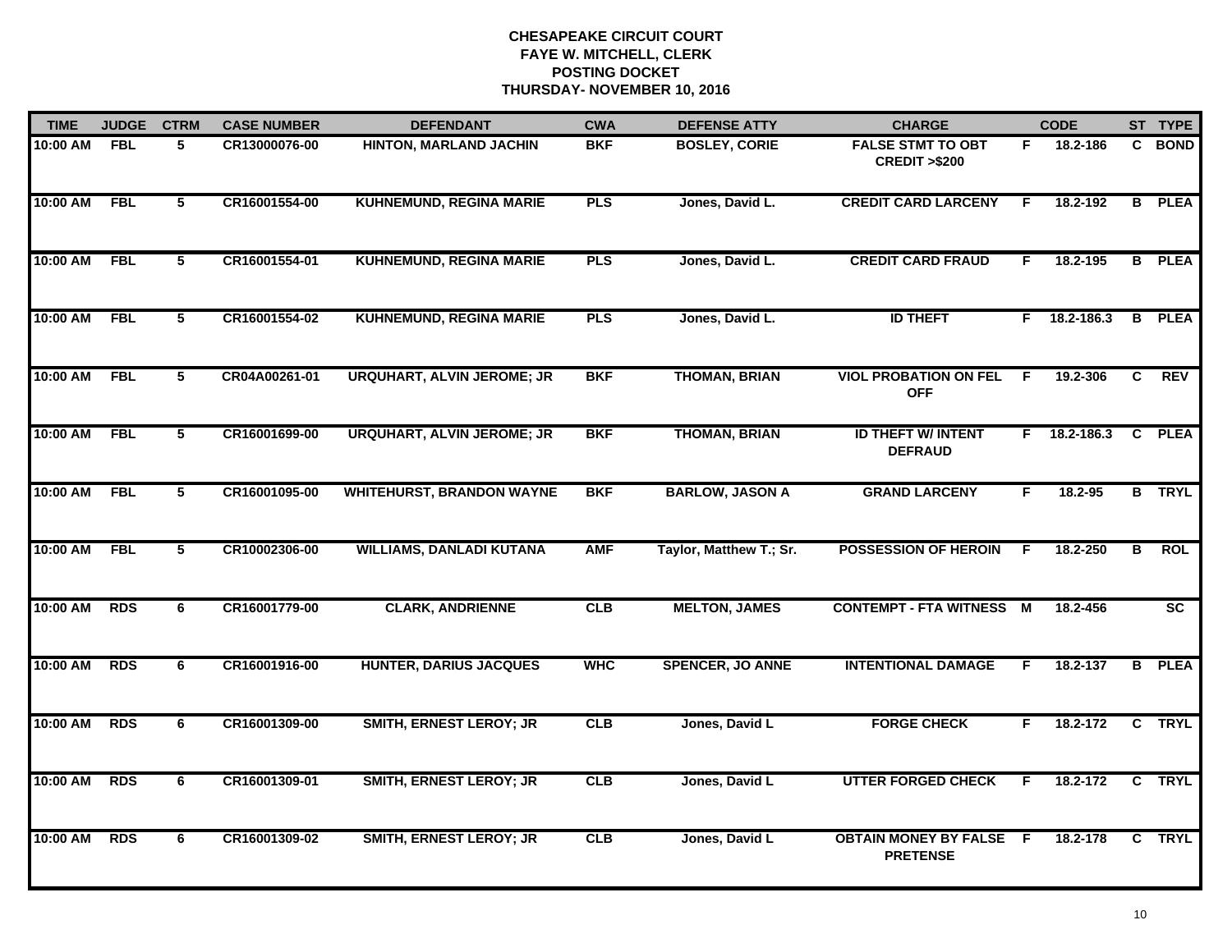| <b>TIME</b> | <b>JUDGE</b> | <b>CTRM</b>     | <b>CASE NUMBER</b> | <b>DEFENDANT</b>                  | <b>CWA</b> | <b>DEFENSE ATTY</b>     | <b>CHARGE</b>                                       |    | <b>CODE</b>    |                         | ST TYPE     |
|-------------|--------------|-----------------|--------------------|-----------------------------------|------------|-------------------------|-----------------------------------------------------|----|----------------|-------------------------|-------------|
| 10:00 AM    | <b>FBL</b>   | 5               | CR13000076-00      | <b>HINTON, MARLAND JACHIN</b>     | <b>BKF</b> | <b>BOSLEY, CORIE</b>    | <b>FALSE STMT TO OBT</b><br><b>CREDIT &gt;\$200</b> | F. | 18.2-186       | C.                      | <b>BOND</b> |
| 10:00 AM    | <b>FBL</b>   | $\overline{5}$  | CR16001554-00      | <b>KUHNEMUND, REGINA MARIE</b>    | <b>PLS</b> | Jones, David L.         | <b>CREDIT CARD LARCENY</b>                          | F. | 18.2-192       | B                       | <b>PLEA</b> |
| 10:00 AM    | <b>FBL</b>   | $\overline{5}$  | CR16001554-01      | <b>KUHNEMUND, REGINA MARIE</b>    | <b>PLS</b> | Jones, David L.         | <b>CREDIT CARD FRAUD</b>                            | F. | 18.2-195       | $\overline{B}$          | <b>PLEA</b> |
| 10:00 AM    | <b>FBL</b>   | 5               | CR16001554-02      | <b>KUHNEMUND, REGINA MARIE</b>    | <b>PLS</b> | Jones, David L.         | <b>ID THEFT</b>                                     | F. | 18.2-186.3     | B                       | <b>PLEA</b> |
| 10:00 AM    | <b>FBL</b>   | 5               | CR04A00261-01      | <b>URQUHART, ALVIN JEROME; JR</b> | <b>BKF</b> | <b>THOMAN, BRIAN</b>    | <b>VIOL PROBATION ON FEL</b><br><b>OFF</b>          | F. | 19.2-306       | C                       | <b>REV</b>  |
| 10:00 AM    | <b>FBL</b>   | $5\phantom{.0}$ | CR16001699-00      | <b>URQUHART, ALVIN JEROME; JR</b> | <b>BKF</b> | <b>THOMAN, BRIAN</b>    | <b>ID THEFT W/ INTENT</b><br><b>DEFRAUD</b>         |    | $F$ 18.2-186.3 | C                       | <b>PLEA</b> |
| 10:00 AM    | <b>FBL</b>   | 5               | CR16001095-00      | <b>WHITEHURST, BRANDON WAYNE</b>  | <b>BKF</b> | <b>BARLOW, JASON A</b>  | <b>GRAND LARCENY</b>                                | F. | 18.2-95        | B                       | <b>TRYL</b> |
| 10:00 AM    | <b>FBL</b>   | $\overline{5}$  | CR10002306-00      | <b>WILLIAMS, DANLADI KUTANA</b>   | <b>AMF</b> | Taylor, Matthew T.; Sr. | <b>POSSESSION OF HEROIN</b>                         | -F | 18.2-250       | $\overline{\mathbf{B}}$ | <b>ROL</b>  |
| 10:00 AM    | <b>RDS</b>   | 6               | CR16001779-00      | <b>CLARK, ANDRIENNE</b>           | CLB        | <b>MELTON, JAMES</b>    | <b>CONTEMPT - FTA WITNESS</b>                       | M  | 18.2-456       |                         | <b>SC</b>   |
| 10:00 AM    | <b>RDS</b>   | 6               | CR16001916-00      | <b>HUNTER, DARIUS JACQUES</b>     | <b>WHC</b> | <b>SPENCER, JO ANNE</b> | <b>INTENTIONAL DAMAGE</b>                           | F  | 18.2-137       | B                       | <b>PLEA</b> |
| 10:00 AM    | <b>RDS</b>   | 6               | CR16001309-00      | <b>SMITH, ERNEST LEROY; JR</b>    | <b>CLB</b> | Jones, David L          | <b>FORGE CHECK</b>                                  | F. | 18.2-172       |                         | C TRYL      |
| 10:00 AM    | <b>RDS</b>   | $\overline{6}$  | CR16001309-01      | <b>SMITH, ERNEST LEROY; JR</b>    | CLB        | Jones, David L          | <b>UTTER FORGED CHECK</b>                           | F  | 18.2-172       | C                       | <b>TRYL</b> |
| 10:00 AM    | <b>RDS</b>   | 6               | CR16001309-02      | <b>SMITH, ERNEST LEROY; JR</b>    | CLB        | Jones, David L          | <b>OBTAIN MONEY BY FALSE F</b><br><b>PRETENSE</b>   |    | 18.2-178       |                         | C TRYL      |